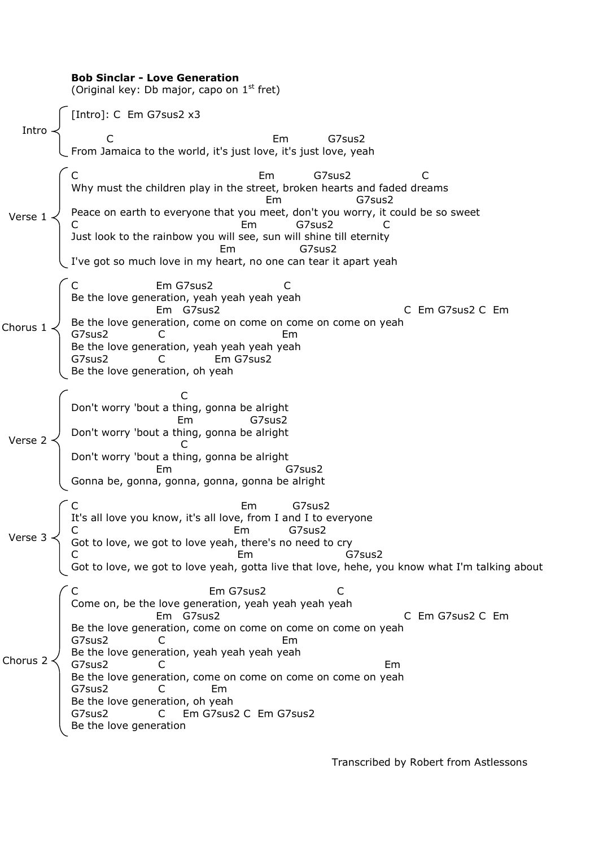|          | <b>Bob Sinclar - Love Generation</b><br>(Original key: Db major, capo on $1st$ fret)                                                                                                                                                                                                                                                                                                                                                                                  |
|----------|-----------------------------------------------------------------------------------------------------------------------------------------------------------------------------------------------------------------------------------------------------------------------------------------------------------------------------------------------------------------------------------------------------------------------------------------------------------------------|
|          | Intro $\left\{\begin{array}{ll} \mbox{[Intro] : C \mathrel{Em } G7sus2 x3} \\ C \\ \mbox{From Jamaica to the world, it's just love, it's just love, yeah} \end{array}\right.$                                                                                                                                                                                                                                                                                         |
|          |                                                                                                                                                                                                                                                                                                                                                                                                                                                                       |
|          | Em G7sus2 C<br>Why must the children play in the street, broken hearts and faded dreams<br>Peace on earth to everyone that you meet, don't you worry, it could be so sweet<br>C<br>Just look to the rainbow you will see, sun will shi<br>I've got so much love in my heart, no one can tear it apart yeah                                                                                                                                                            |
|          | Em G7sus2<br>Erin Gysusz<br>Be the love generation, yeah yeah yeah yeah<br>Em G7sus2<br>Be the love generation, come on come on come on come on yeah<br>G7sus2 C<br>Be the love generation, yeah yeah yeah yeah<br>G7sus2 C<br>Em G7sus2 C<br>Em G7sus2<br>C Em G7sus2 C Em<br>Be the love generation, oh yeah                                                                                                                                                        |
|          | C<br>Don't worry 'bout a thing, gonna be alright<br>G7sus2<br>Em<br>Verse 2<br>Don't worry 'bout a thing, gonna be alright<br>Don't worry 'bout a thing, gonna be alright<br>Em<br>G7sus2<br>Gonna be, gonna, gonna, gonna, gonna be alright                                                                                                                                                                                                                          |
|          | Em<br>Verse 3<br>C<br>Verse 3<br>C<br>C<br>C<br>C<br>C<br>C<br>C<br>Got to love, we got to love yeah, there's no need to cry<br>C<br>C<br>C<br>Got to love, we got to love yeah, there's no need to cry<br>C<br>Got to love, we got to love yeah, gotta live that lo                                                                                                                                                                                                  |
| Chorus 2 | $\subset$ C<br>Em G7sus2<br>C<br>Come on, be the love generation, yeah yeah yeah yeah<br>Em G7sus2<br>C Em G7sus2 C Em<br>Be the love generation, come on come on come on come on yeah<br>G7sus2<br>Em<br>Erri<br>Be the love generation, yeah yeah yeah yeah<br>G7sus2 C<br>Em<br>Be the love generation, come on come on come on come on yeah<br>G7sus2<br>Em.<br>Be the love generation, oh yeah<br>G7sus2<br>Em G7sus2 C Em G7sus2<br>C<br>Be the love generation |